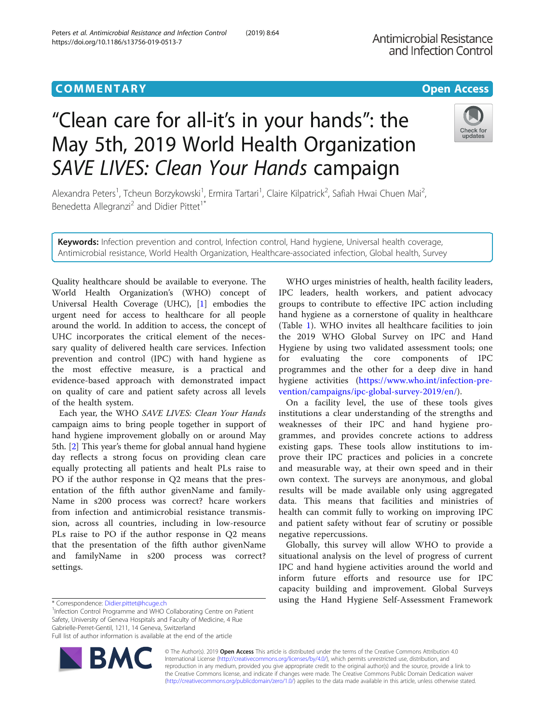# "Clean care for all-it's in your hands": the May 5th, 2019 World Health Organization SAVE LIVES: Clean Your Hands campaign

Alexandra Peters<sup>1</sup>, Tcheun Borzykowski<sup>1</sup>, Ermira Tartari<sup>1</sup>, Claire Kilpatrick<sup>2</sup>, Safiah Hwai Chuen Mai<sup>2</sup> , Benedetta Allegranzi<sup>2</sup> and Didier Pittet<sup>1\*</sup>

Keywords: Infection prevention and control, Infection control, Hand hygiene, Universal health coverage, Antimicrobial resistance, World Health Organization, Healthcare-associated infection, Global health, Survey

Quality healthcare should be available to everyone. The World Health Organization's (WHO) concept of Universal Health Coverage (UHC), [\[1](#page-2-0)] embodies the urgent need for access to healthcare for all people around the world. In addition to access, the concept of UHC incorporates the critical element of the necessary quality of delivered health care services. Infection prevention and control (IPC) with hand hygiene as the most effective measure, is a practical and evidence-based approach with demonstrated impact on quality of care and patient safety across all levels of the health system.

Each year, the WHO SAVE LIVES: Clean Your Hands campaign aims to bring people together in support of hand hygiene improvement globally on or around May 5th. [\[2](#page-2-0)] This year's theme for global annual hand hygiene day reflects a strong focus on providing clean care equally protecting all patients and healt PLs raise to PO if the author response in Q2 means that the presentation of the fifth author givenName and family-Name in s200 process was correct? hcare workers from infection and antimicrobial resistance transmission, across all countries, including in low-resource PLs raise to PO if the author response in Q2 means that the presentation of the fifth author givenName and familyName in s200 process was correct? settings.

WHO urges ministries of health, health facility leaders, IPC leaders, health workers, and patient advocacy groups to contribute to effective IPC action including hand hygiene as a cornerstone of quality in healthcare (Table [1\)](#page-1-0). WHO invites all healthcare facilities to join the 2019 WHO Global Survey on IPC and Hand Hygiene by using two validated assessment tools; one for evaluating the core components of IPC programmes and the other for a deep dive in hand hygiene activities [\(https://www.who.int/infection-pre](https://www.who.int/infection-prevention/campaigns/ipc-global-survey-2019/en/)[vention/campaigns/ipc-global-survey-2019/en/\)](https://www.who.int/infection-prevention/campaigns/ipc-global-survey-2019/en/).

On a facility level, the use of these tools gives institutions a clear understanding of the strengths and weaknesses of their IPC and hand hygiene programmes, and provides concrete actions to address existing gaps. These tools allow institutions to improve their IPC practices and policies in a concrete and measurable way, at their own speed and in their own context. The surveys are anonymous, and global results will be made available only using aggregated data. This means that facilities and ministries of health can commit fully to working on improving IPC and patient safety without fear of scrutiny or possible negative repercussions.

Globally, this survey will allow WHO to provide a situational analysis on the level of progress of current IPC and hand hygiene activities around the world and inform future efforts and resource use for IPC capacity building and improvement. Global Surveys using the Hand Hygiene Self-Assessment Framework

<sup>1</sup>Infection Control Programme and WHO Collaborating Centre on Patient Safety, University of Geneva Hospitals and Faculty of Medicine, 4 Rue Gabrielle-Perret-Gentil, 1211, 14 Geneva, Switzerland Full list of author information is available at the end of the article

> © The Author(s). 2019 Open Access This article is distributed under the terms of the Creative Commons Attribution 4.0 International License [\(http://creativecommons.org/licenses/by/4.0/](http://creativecommons.org/licenses/by/4.0/)), which permits unrestricted use, distribution, and reproduction in any medium, provided you give appropriate credit to the original author(s) and the source, provide a link to the Creative Commons license, and indicate if changes were made. The Creative Commons Public Domain Dedication waiver [\(http://creativecommons.org/publicdomain/zero/1.0/](http://creativecommons.org/publicdomain/zero/1.0/)) applies to the data made available in this article, unless otherwise stated.





<sup>\*</sup> Correspondence: [Didier.pittet@hcuge.ch](mailto:Didier.pittet@hcuge.ch) <sup>1</sup>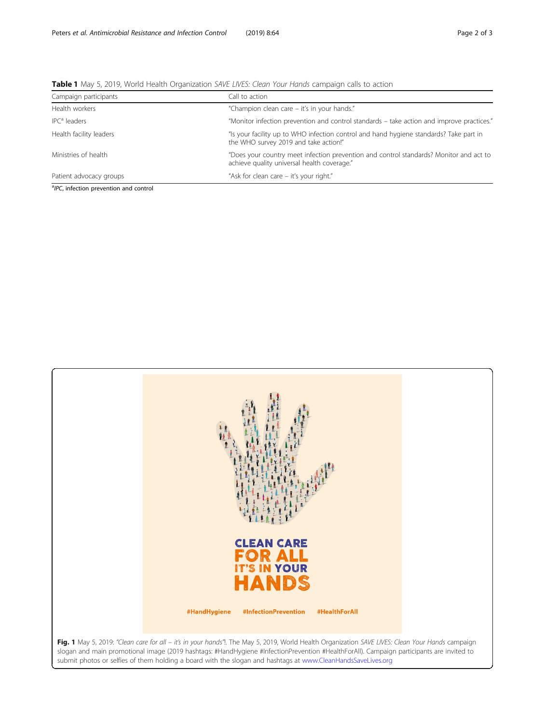| Campaign participants    | Call to action                                                                                                                        |
|--------------------------|---------------------------------------------------------------------------------------------------------------------------------------|
| Health workers           | "Champion clean care – it's in your hands."                                                                                           |
| IPC <sup>a</sup> leaders | "Monitor infection prevention and control standards – take action and improve practices."                                             |
| Health facility leaders  | "Is your facility up to WHO infection control and hand hygiene standards? Take part in<br>the WHO survey 2019 and take action!"       |
| Ministries of health     | "Does your country meet infection prevention and control standards? Monitor and act to<br>achieve quality universal health coverage." |
| Patient advocacy groups  | "Ask for clean care - it's your right."                                                                                               |

<span id="page-1-0"></span>Table 1 May 5, 2019, World Health Organization SAVE LIVES: Clean Your Hands campaign calls to action

<sup>a</sup>IPC, infection prevention and control